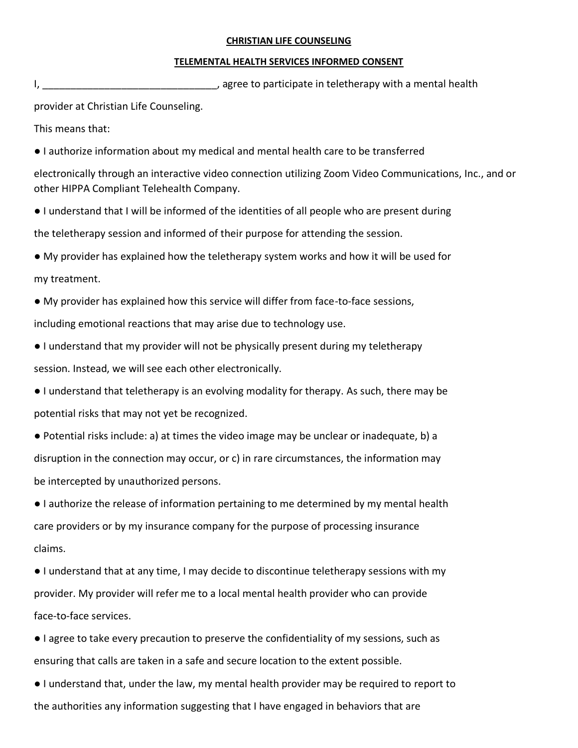## **CHRISTIAN LIFE COUNSELING**

## **TELEMENTAL HEALTH SERVICES INFORMED CONSENT**

I, the contract of the contract of the contract of the contract of the contract of the contract of the contract of the contract of the contract of the contract of the contract of the contract of the contract of the contrac

provider at Christian Life Counseling.

This means that:

● I authorize information about my medical and mental health care to be transferred

electronically through an interactive video connection utilizing Zoom Video Communications, Inc., and or other HIPPA Compliant Telehealth Company.

● I understand that I will be informed of the identities of all people who are present during

the teletherapy session and informed of their purpose for attending the session.

● My provider has explained how the teletherapy system works and how it will be used for my treatment.

● My provider has explained how this service will differ from face-to-face sessions, including emotional reactions that may arise due to technology use.

- I understand that my provider will not be physically present during my teletherapy session. Instead, we will see each other electronically.
- I understand that teletherapy is an evolving modality for therapy. As such, there may be potential risks that may not yet be recognized.

● Potential risks include: a) at times the video image may be unclear or inadequate, b) a disruption in the connection may occur, or c) in rare circumstances, the information may be intercepted by unauthorized persons.

● I authorize the release of information pertaining to me determined by my mental health care providers or by my insurance company for the purpose of processing insurance claims.

● I understand that at any time, I may decide to discontinue teletherapy sessions with my provider. My provider will refer me to a local mental health provider who can provide face-to-face services.

- I agree to take every precaution to preserve the confidentiality of my sessions, such as ensuring that calls are taken in a safe and secure location to the extent possible.
- I understand that, under the law, my mental health provider may be required to report to the authorities any information suggesting that I have engaged in behaviors that are